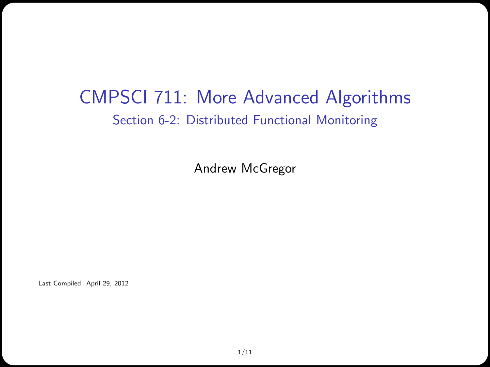#### CMPSCI 711: More Advanced Algorithms Section 6-2: Distributed Functional Monitoring

Andrew McGregor

Last Compiled: April 29, 2012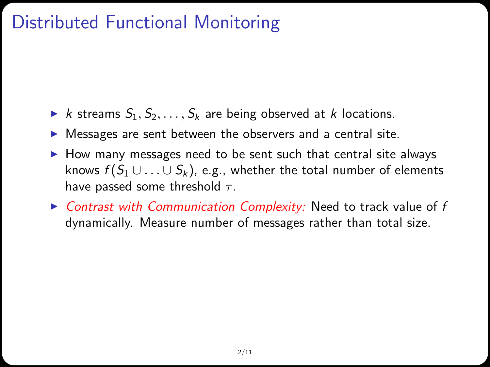### Distributed Functional Monitoring

- In k streams  $S_1, S_2, \ldots, S_k$  are being observed at k locations.
- $\triangleright$  Messages are sent between the observers and a central site.
- $\blacktriangleright$  How many messages need to be sent such that central site always knows  $f(S_1 \cup ... \cup S_k)$ , e.g., whether the total number of elements have passed some threshold  $\tau$ .
- $\triangleright$  Contrast with Communication Complexity: Need to track value of f dynamically. Measure number of messages rather than total size.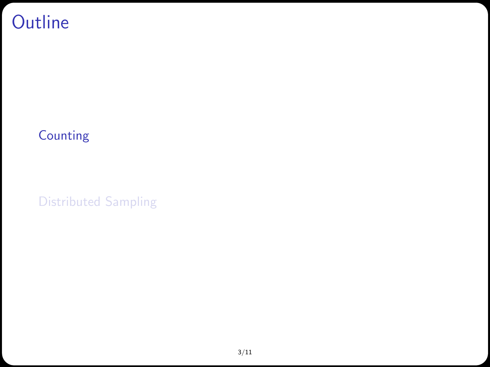#### **Outline**

#### [Counting](#page-2-0)

<span id="page-2-0"></span>[Distributed Sampling](#page-7-0)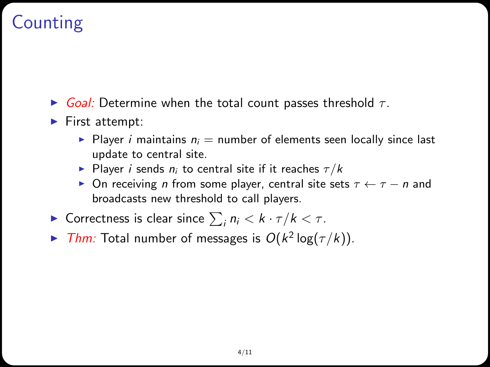# Counting

- $\triangleright$  Goal: Determine when the total count passes threshold  $\tau$ .
- $\blacktriangleright$  First attempt:
	- Player *i* maintains  $n_i$  = number of elements seen locally since last update to central site.
	- Player i sends  $n_i$  to central site if it reaches  $\tau/k$
	- $\triangleright$  On receiving *n* from some player, central site sets  $\tau \leftarrow \tau n$  and broadcasts new threshold to call players.
- ► Correctness is clear since  $\sum_i n_i < k \cdot \tau / k < \tau$ .
- In Thm: Total number of messages is  $O(k^2 \log(\tau/k))$ .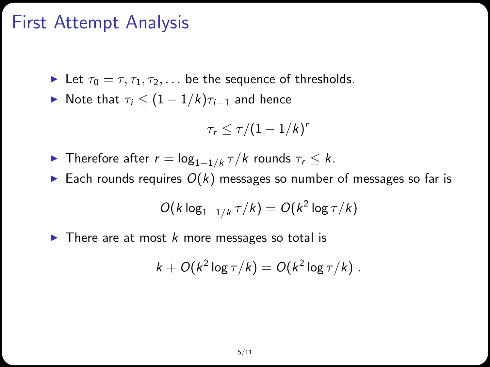#### First Attempt Analysis

- Let  $\tau_0 = \tau, \tau_1, \tau_2, \ldots$  be the sequence of thresholds.
- $\triangleright$  Note that  $\tau_i \leq (1 1/k)\tau_{i-1}$  and hence

$$
\tau_r \leq \tau/(1-1/k)^r
$$

- ► Therefore after  $r = \log_{1-1/k} \tau/k$  rounds  $\tau_r \leq k$ .
- Each rounds requires  $O(k)$  messages so number of messages so far is

$$
O(k \log_{1-1/k} \tau/k) = O(k^2 \log \tau/k)
$$

 $\triangleright$  There are at most k more messages so total is

$$
k + O(k^2 \log \tau / k) = O(k^2 \log \tau / k).
$$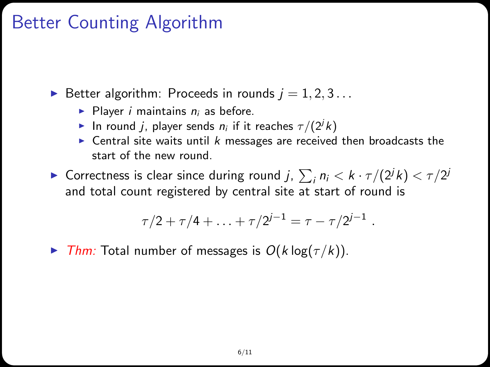## Better Counting Algorithm

Better algorithm: Proceeds in rounds  $j = 1, 2, 3...$ 

- Player *i* maintains  $n_i$  as before.
- In round j, player sends  $n_i$  if it reaches  $\tau/(2^j k)$
- $\triangleright$  Central site waits until k messages are received then broadcasts the start of the new round.
- ► Correctness is clear since during round j,  $\sum_i n_i < k \cdot \tau/(2^j k) < \tau/2^j$ and total count registered by central site at start of round is

$$
\tau/2 + \tau/4 + \ldots + \tau/2^{j-1} = \tau - \tau/2^{j-1} \ .
$$

**Fig.** That Total number of messages is  $O(k \log(\tau/k))$ .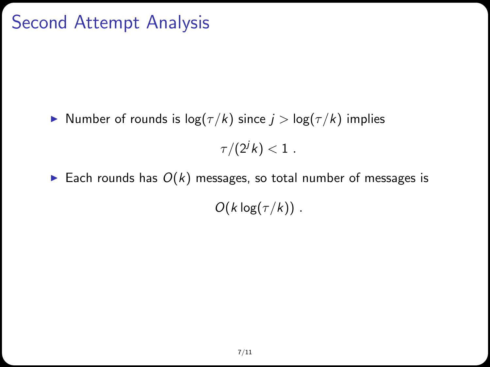## Second Attempt Analysis

► Number of rounds is  $log(\tau/k)$  since  $j > log(\tau/k)$  implies

 $\tau/(2^j k) < 1$  .

Each rounds has  $O(k)$  messages, so total number of messages is  $O(k \log(\tau/k))$ .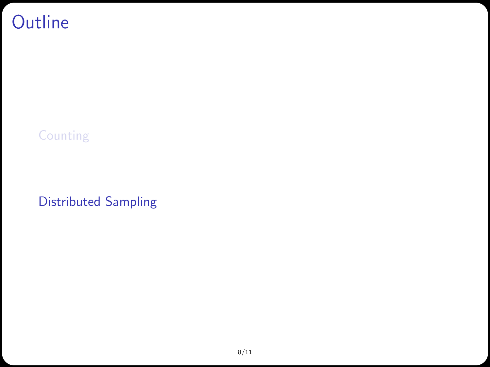#### **Outline**

[Counting](#page-2-0)

<span id="page-7-0"></span>[Distributed Sampling](#page-7-0)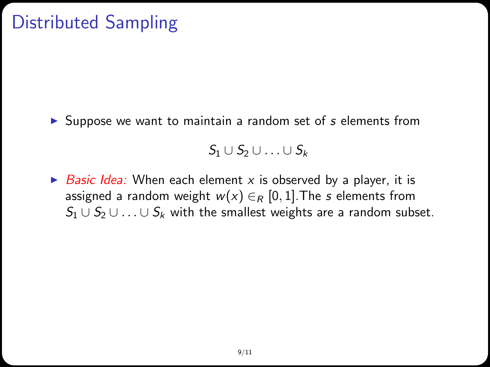## Distributed Sampling

 $\triangleright$  Suppose we want to maintain a random set of s elements from

 $S_1 \cup S_2 \cup \ldots \cup S_k$ 

 $\triangleright$  Basic Idea: When each element x is observed by a player, it is assigned a random weight  $w(x) \in_R [0,1]$ . The s elements from  $S_1 \cup S_2 \cup \ldots \cup S_k$  with the smallest weights are a random subset.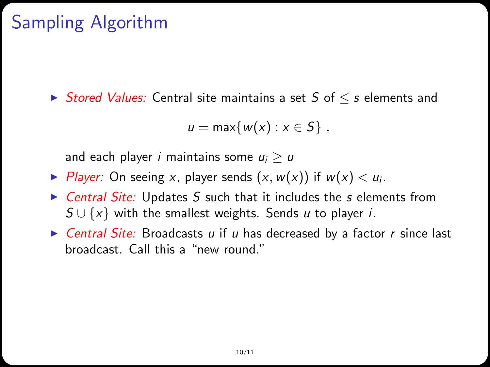# Sampling Algorithm

 $\triangleright$  Stored Values: Central site maintains a set S of  $\leq$  s elements and

$$
u=\max\{w(x):x\in S\}.
$$

and each player *i* maintains some  $u_i > u$ 

- ▶ Player: On seeing x, player sends  $(x, w(x))$  if  $w(x) < u_i$ .
- $\triangleright$  Central Site: Updates S such that it includes the s elements from  $S \cup \{x\}$  with the smallest weights. Sends u to player i.
- $\triangleright$  Central Site: Broadcasts u if u has decreased by a factor r since last broadcast. Call this a "new round."